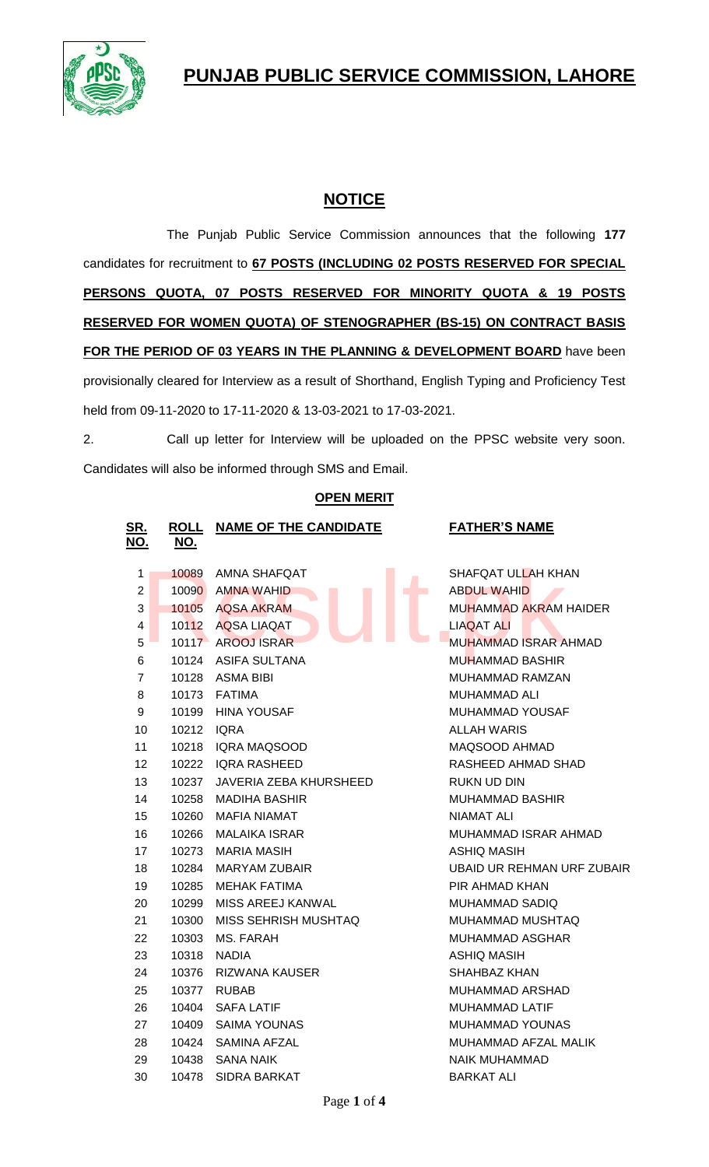# **PUNJAB PUBLIC SERVICE COMMISSION, LAHORE**



## **NOTICE**

The Punjab Public Service Commission announces that the following **177** candidates for recruitment to **67 POSTS (INCLUDING 02 POSTS RESERVED FOR SPECIAL PERSONS QUOTA, 07 POSTS RESERVED FOR MINORITY QUOTA & 19 POSTS RESERVED FOR WOMEN QUOTA) OF STENOGRAPHER (BS-15) ON CONTRACT BASIS FOR THE PERIOD OF 03 YEARS IN THE PLANNING & DEVELOPMENT BOARD** have been provisionally cleared for Interview as a result of Shorthand, English Typing and Proficiency Test held from 09-11-2020 to 17-11-2020 & 13-03-2021 to 17-03-2021.

2. Call up letter for Interview will be uploaded on the PPSC website very soon. Candidates will also be informed through SMS and Email.

|  |  |  | <b>OPEN MERIT</b> |  |
|--|--|--|-------------------|--|
|--|--|--|-------------------|--|

| SR.<br>NO.     | <b>ROLL</b><br><u>NO.</u> | <b>NAME OF THE CANDIDATE</b> | <b>FATHER'S NAME</b>        |
|----------------|---------------------------|------------------------------|-----------------------------|
| 1              | 10089                     | AMNA SHAFQAT                 | SHAFQAT ULLAH KHAN          |
| $\overline{2}$ | 10090                     | AMNA WAHID<br><b>The Co</b>  | <b>ABDUL WAHID</b>          |
| 3              | 10105                     | AQSA AKRAM                   | MUHAMMAD AKRAM HAIDER       |
| 4              | 10112                     | <b>AQSA LIAQAT</b>           | <b>LIAQAT ALI</b>           |
| 5              |                           | 10117 AROOJ ISRAR            | <b>MUHAMMAD ISRAR AHMAD</b> |
| 6              |                           | 10124 ASIFA SULTANA          | MUHAMMAD BASHIR             |
| $\overline{7}$ |                           | 10128 ASMA BIBI              | <b>MUHAMMAD RAMZAN</b>      |
| 8              |                           | 10173 FATIMA                 | MUHAMMAD ALI                |
| 9              | 10199                     | HINA YOUSAF                  | MUHAMMAD YOUSAF             |
| 10             | 10212                     | <b>IQRA</b>                  | <b>ALLAH WARIS</b>          |
| 11             | 10218                     | <b>IQRA MAQSOOD</b>          | MAQSOOD AHMAD               |
| 12             | 10222                     | IQRA RASHEED                 | RASHEED AHMAD SHAD          |
| 13             | 10237                     | JAVERIA ZEBA KHURSHEED       | RUKN UD DIN                 |
| 14             | 10258                     | MADIHA BASHIR                | <b>MUHAMMAD BASHIR</b>      |
| 15             | 10260                     | MAFIA NIAMAT                 | NIAMAT ALI                  |
| 16             | 10266                     | <b>MALAIKA ISRAR</b>         | MUHAMMAD ISRAR AHMAD        |
| 17             | 10273                     | <b>MARIA MASIH</b>           | <b>ASHIQ MASIH</b>          |
| 18             | 10284                     | <b>MARYAM ZUBAIR</b>         | UBAID UR REHMAN URF ZUBAIR  |
| 19             | 10285                     | <b>MEHAK FATIMA</b>          | PIR AHMAD KHAN              |
| 20             | 10299                     | MISS AREEJ KANWAL            | MUHAMMAD SADIQ              |
| 21             | 10300                     | MISS SEHRISH MUSHTAQ         | MUHAMMAD MUSHTAQ            |
| 22             | 10303                     | MS. FARAH                    | MUHAMMAD ASGHAR             |
| 23             | 10318                     | NADIA                        | ASHIQ MASIH                 |
| 24             | 10376                     | <b>RIZWANA KAUSER</b>        | SHAHBAZ KHAN                |
| 25             | 10377                     | <b>RUBAB</b>                 | MUHAMMAD ARSHAD             |
| 26             | 10404                     | SAFA LATIF                   | <b>MUHAMMAD LATIF</b>       |
| 27             | 10409                     | <b>SAIMA YOUNAS</b>          | MUHAMMAD YOUNAS             |
| 28             | 10424                     | SAMINA AFZAL                 | MUHAMMAD AFZAL MALIK        |
| 29             |                           | 10438 SANA NAIK              | <b>NAIK MUHAMMAD</b>        |
| 30             | 10478                     | SIDRA BARKAT                 | <b>BARKAT ALI</b>           |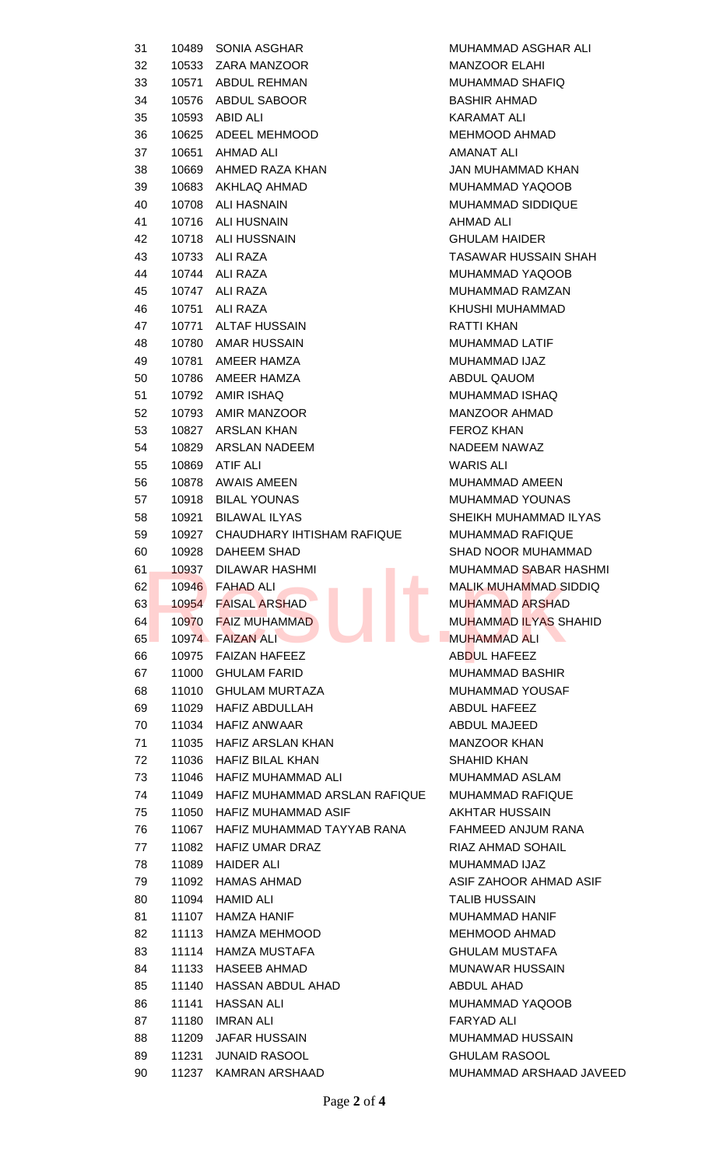| 31 |       | 10489 SONIA ASGHAR                  | MUHAMMAD ASGHAR ALI          |
|----|-------|-------------------------------------|------------------------------|
| 32 |       | 10533 ZARA MANZOOR                  | <b>MANZOOR ELAHI</b>         |
| 33 |       | 10571 ABDUL REHMAN                  | MUHAMMAD SHAFIQ              |
| 34 |       | 10576 ABDUL SABOOR                  | <b>BASHIR AHMAD</b>          |
| 35 |       | 10593 ABID ALI                      | <b>KARAMAT ALI</b>           |
| 36 |       | 10625 ADEEL MEHMOOD                 | MEHMOOD AHMAD                |
| 37 |       | 10651 AHMAD ALI                     | AMANAT ALI                   |
| 38 |       | 10669 AHMED RAZA KHAN               | JAN MUHAMMAD KHAN            |
| 39 |       | 10683 AKHLAQ AHMAD                  | MUHAMMAD YAQOOB              |
| 40 |       | 10708 ALI HASNAIN                   | <b>MUHAMMAD SIDDIQUE</b>     |
| 41 |       | 10716 ALI HUSNAIN                   | AHMAD ALI                    |
| 42 |       | 10718 ALI HUSSNAIN                  | <b>GHULAM HAIDER</b>         |
| 43 |       | 10733 ALI RAZA                      | TASAWAR HUSSAIN SHAH         |
| 44 |       | 10744 ALI RAZA                      | MUHAMMAD YAQOOB              |
| 45 |       | 10747 ALI RAZA                      | MUHAMMAD RAMZAN              |
| 46 |       | 10751 ALI RAZA                      | KHUSHI MUHAMMAD              |
| 47 |       | 10771 ALTAF HUSSAIN                 | <b>RATTI KHAN</b>            |
| 48 |       | 10780 AMAR HUSSAIN                  | MUHAMMAD LATIF               |
| 49 |       | 10781 AMEER HAMZA                   | MUHAMMAD IJAZ                |
| 50 |       | 10786 AMEER HAMZA                   | ABDUL QAUOM                  |
| 51 |       | 10792 AMIR ISHAQ                    | MUHAMMAD ISHAQ               |
| 52 |       | 10793 AMIR MANZOOR                  | MANZOOR AHMAD                |
| 53 |       | 10827 ARSLAN KHAN                   | <b>FEROZ KHAN</b>            |
| 54 |       | 10829 ARSLAN NADEEM                 | NADEEM NAWAZ                 |
| 55 |       | 10869 ATIF ALI                      | WARIS ALI                    |
| 56 |       | 10878 AWAIS AMEEN                   | MUHAMMAD AMEEN               |
|    |       |                                     | MUHAMMAD YOUNAS              |
| 57 |       | 10918 BILAL YOUNAS                  |                              |
| 58 |       | 10921 BILAWAL ILYAS                 | SHEIKH MUHAMMAD ILYAS        |
| 59 |       | 10927 CHAUDHARY IHTISHAM RAFIQUE    | <b>MUHAMMAD RAFIQUE</b>      |
| 60 |       | 10928 DAHEEM SHAD                   | <b>SHAD NOOR MUHAMMAD</b>    |
| 61 | 10937 | DILAWAR HASHMI                      | MUHAMMAD SABAR HASHMI        |
| 62 |       | 10946 FAHAD ALI<br>F.               | <b>MALIK MUHAMMAD SIDDIQ</b> |
| 63 |       | 10954 FAISAL ARSHAD                 | <b>MUHAMMAD ARSHAD</b>       |
| 64 |       | 10970 FAIZ MUHAMMAD                 | <b>MUHAMMAD ILYAS SHAHID</b> |
| 65 |       | 10974 FAIZAN ALI                    | <b>MUHAMMAD ALI</b>          |
| 66 |       | 10975 FAIZAN HAFEEZ                 | ABDUL HAFEEZ                 |
| 67 |       | 11000 GHULAM FARID                  | <b>MUHAMMAD BASHIR</b>       |
| 68 |       | 11010 GHULAM MURTAZA                | MUHAMMAD YOUSAF              |
| 69 |       | 11029 HAFIZ ABDULLAH                | ABDUL HAFEEZ                 |
| 70 |       | 11034 HAFIZ ANWAAR                  | ABDUL MAJEED                 |
| 71 |       | 11035 HAFIZ ARSLAN KHAN             | <b>MANZOOR KHAN</b>          |
| 72 |       | 11036 HAFIZ BILAL KHAN              | <b>SHAHID KHAN</b>           |
| 73 |       | 11046 HAFIZ MUHAMMAD ALI            | MUHAMMAD ASLAM               |
| 74 |       | 11049 HAFIZ MUHAMMAD ARSLAN RAFIQUE | <b>MUHAMMAD RAFIQUE</b>      |
| 75 |       | 11050 HAFIZ MUHAMMAD ASIF           | <b>AKHTAR HUSSAIN</b>        |
| 76 |       | 11067 HAFIZ MUHAMMAD TAYYAB RANA    | FAHMEED ANJUM RANA           |
| 77 |       | 11082 HAFIZ UMAR DRAZ               | RIAZ AHMAD SOHAIL            |
| 78 |       | 11089 HAIDER ALI                    | MUHAMMAD IJAZ                |
| 79 |       | 11092 HAMAS AHMAD                   | ASIF ZAHOOR AHMAD ASIF       |
| 80 |       | 11094 HAMID ALI                     | <b>TALIB HUSSAIN</b>         |
| 81 |       | 11107 HAMZA HANIF                   | MUHAMMAD HANIF               |
| 82 |       | 11113 HAMZA MEHMOOD                 | MEHMOOD AHMAD                |
| 83 |       | 11114 HAMZA MUSTAFA                 | <b>GHULAM MUSTAFA</b>        |
| 84 |       | 11133 HASEEB AHMAD                  | MUNAWAR HUSSAIN              |
| 85 | 11140 | HASSAN ABDUL AHAD                   | ABDUL AHAD                   |
| 86 | 11141 | HASSAN ALI                          | MUHAMMAD YAQOOB              |
|    |       |                                     |                              |
| 87 | 11180 | IMRAN ALI                           | FARYAD ALI                   |
| 88 |       | 11209 JAFAR HUSSAIN                 | MUHAMMAD HUSSAIN             |
| 89 | 11231 | <b>JUNAID RASOOL</b>                | <b>GHULAM RASOOL</b>         |
| 90 |       | 11237 KAMRAN ARSHAAD                | MUHAMMAD ARSHAAD JAVEED      |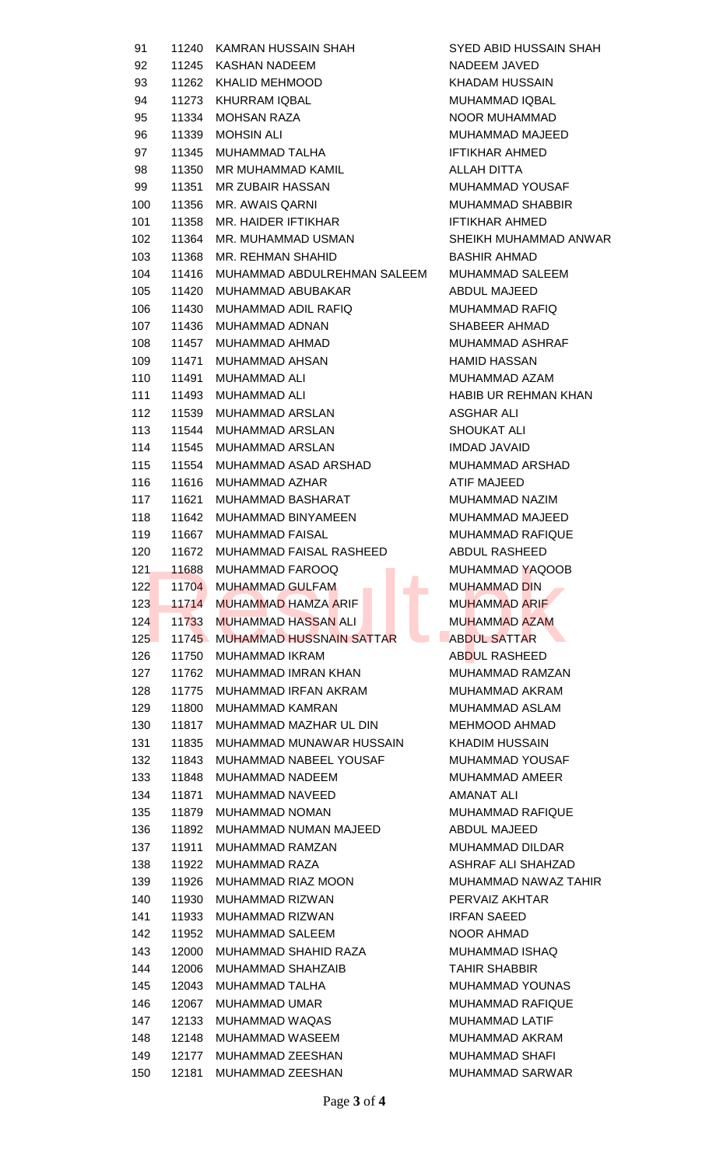| 91  | 11240 | <b>KAMRAN HUSSAIN SHAH</b>       | <b>SYED ABID HUSSAIN</b> |
|-----|-------|----------------------------------|--------------------------|
| 92  | 11245 | KASHAN NADEEM                    | NADEEM JAVED             |
| 93  | 11262 | <b>KHALID MEHMOOD</b>            | <b>KHADAM HUSSAIN</b>    |
| 94  | 11273 | <b>KHURRAM IQBAL</b>             | MUHAMMAD IQBAL           |
| 95  | 11334 | <b>MOHSAN RAZA</b>               | NOOR MUHAMMAD            |
| 96  | 11339 | <b>MOHSIN ALI</b>                | <b>MUHAMMAD MAJEED</b>   |
| 97  | 11345 | MUHAMMAD TALHA                   | <b>IFTIKHAR AHMED</b>    |
| 98  | 11350 | MR MUHAMMAD KAMIL                | <b>ALLAH DITTA</b>       |
| 99  | 11351 | <b>MR ZUBAIR HASSAN</b>          | <b>MUHAMMAD YOUSAR</b>   |
| 100 | 11356 | MR. AWAIS QARNI                  | <b>MUHAMMAD SHABBI</b>   |
| 101 | 11358 | MR. HAIDER IFTIKHAR              | <b>IFTIKHAR AHMED</b>    |
| 102 | 11364 | MR. MUHAMMAD USMAN               | <b>SHEIKH MUHAMMAD</b>   |
| 103 | 11368 | MR. REHMAN SHAHID                | <b>BASHIR AHMAD</b>      |
| 104 | 11416 | MUHAMMAD ABDULREHMAN SALEEM      | <b>MUHAMMAD SALEEM</b>   |
| 105 | 11420 | MUHAMMAD ABUBAKAR                | ABDUL MAJEED             |
| 106 |       | MUHAMMAD ADIL RAFIQ              |                          |
|     | 11430 |                                  | <b>MUHAMMAD RAFIQ</b>    |
| 107 | 11436 | MUHAMMAD ADNAN                   | SHABEER AHMAD            |
| 108 | 11457 | MUHAMMAD AHMAD                   | <b>MUHAMMAD ASHRAF</b>   |
| 109 | 11471 | MUHAMMAD AHSAN                   | <b>HAMID HASSAN</b>      |
| 110 | 11491 | <b>MUHAMMAD ALI</b>              | MUHAMMAD AZAM            |
| 111 | 11493 | <b>MUHAMMAD ALI</b>              | <b>HABIB UR REHMANK</b>  |
| 112 | 11539 | <b>MUHAMMAD ARSLAN</b>           | ASGHAR ALI               |
| 113 | 11544 | <b>MUHAMMAD ARSLAN</b>           | <b>SHOUKAT ALI</b>       |
| 114 | 11545 | <b>MUHAMMAD ARSLAN</b>           | <b>IMDAD JAVAID</b>      |
| 115 | 11554 | MUHAMMAD ASAD ARSHAD             | MUHAMMAD ARSHAD          |
| 116 | 11616 | MUHAMMAD AZHAR                   | ATIF MAJEED              |
| 117 | 11621 | MUHAMMAD BASHARAT                | MUHAMMAD NAZIM           |
| 118 | 11642 | MUHAMMAD BINYAMEEN               | MUHAMMAD MAJEED          |
| 119 | 11667 | <b>MUHAMMAD FAISAL</b>           | MUHAMMAD RAFIQU          |
| 120 | 11672 | MUHAMMAD FAISAL RASHEED          | <b>ABDUL RASHEED</b>     |
| 121 | 11688 | MUHAMMAD FAROOQ                  | MUHAMMAD YAQOOI          |
| 122 | 11704 | <b>MUHAMMAD GULFAM</b>           | <b>MUHAMMAD DIN</b>      |
| 123 | 11714 | п<br><b>MUHAMMAD HAMZA ARIF</b>  | <b>MUHAMMAD ARIF</b>     |
| 124 | 11733 | <b>MUHAMMAD HASSAN ALI</b>       | <b>MUHAMMAD AZAM</b>     |
| 125 |       | 11745 MUHAMMAD HUSSNAIN SATTAR   | <b>ABDUL SATTAR</b>      |
| 126 | 11750 | <b>MUHAMMAD IKRAM</b>            | <b>ABDUL RASHEED</b>     |
| 127 | 11762 | MUHAMMAD IMRAN KHAN              | MUHAMMAD RAMZAM          |
| 128 | 11775 | MUHAMMAD IRFAN AKRAM             | MUHAMMAD AKRAM           |
| 129 | 11800 | <b>MUHAMMAD KAMRAN</b>           | MUHAMMAD ASLAM           |
| 130 | 11817 | MUHAMMAD MAZHAR UL DIN           | <b>MEHMOOD AHMAD</b>     |
| 131 | 11835 | MUHAMMAD MUNAWAR HUSSAIN         | <b>KHADIM HUSSAIN</b>    |
| 132 | 11843 | MUHAMMAD NABEEL YOUSAF           | <b>MUHAMMAD YOUSAR</b>   |
| 133 | 11848 | MUHAMMAD NADEEM                  | MUHAMMAD AMEER           |
| 134 | 11871 | MUHAMMAD NAVEED                  | <b>AMANAT ALI</b>        |
| 135 | 11879 | <b>MUHAMMAD NOMAN</b>            | MUHAMMAD RAFIQU          |
| 136 | 11892 | MUHAMMAD NUMAN MAJEED            | <b>ABDUL MAJEED</b>      |
|     |       |                                  |                          |
| 137 | 11911 | MUHAMMAD RAMZAN<br>MUHAMMAD RAZA | <b>MUHAMMAD DILDAR</b>   |
| 138 | 11922 |                                  | <b>ASHRAF ALI SHAHZA</b> |
| 139 | 11926 | MUHAMMAD RIAZ MOON               | MUHAMMAD NAWAZ           |
| 140 | 11930 | MUHAMMAD RIZWAN                  | PERVAIZ AKHTAR           |
| 141 | 11933 | MUHAMMAD RIZWAN                  | <b>IRFAN SAEED</b>       |
| 142 | 11952 | <b>MUHAMMAD SALEEM</b>           | <b>NOOR AHMAD</b>        |
| 143 | 12000 | MUHAMMAD SHAHID RAZA             | MUHAMMAD ISHAQ           |
| 144 | 12006 | <b>MUHAMMAD SHAHZAIB</b>         | <b>TAHIR SHABBIR</b>     |
| 145 | 12043 | MUHAMMAD TALHA                   | <b>MUHAMMAD YOUNAS</b>   |
| 146 | 12067 | <b>MUHAMMAD UMAR</b>             | <b>MUHAMMAD RAFIQU</b>   |
| 147 | 12133 | MUHAMMAD WAQAS                   | <b>MUHAMMAD LATIF</b>    |
| 148 | 12148 | MUHAMMAD WASEEM                  | MUHAMMAD AKRAM           |
| 149 | 12177 | MUHAMMAD ZEESHAN                 | MUHAMMAD SHAFI           |
|     |       | 150 12181 MUHAMMAD ZEESHAN       | <b>MUHAMMAD SARWA</b>    |

SYED ABID HUSSAIN SHAH NADEEM JAVED KHADAM HUSSAIN MUHAMMAD IQBAL NOOR MUHAMMAD MUHAMMAD MAJEED **IFTIKHAR AHMED ALLAH DITTA** MUHAMMAD YOUSAF MUHAMMAD SHABBIR IFTIKHAR AHMED SHEIKH MUHAMMAD ANWAR BASHIR AHMAD MUHAMMAD SALEEM ABDUL MAJEED MUHAMMAD RAFIQ SHABEER AHMAD MUHAMMAD ASHRAF HAMID HASSAN MUHAMMAD AZAM HABIB UR REHMAN KHAN **ASGHAR ALI** SHOUKAT ALI **IMDAD JAVAID** MUHAMMAD ARSHAD **ATIF MAJEED** MUHAMMAD NAZIM MUHAMMAD MAJEED MUHAMMAD RAFIQUE ABDUL RASHEED MUHAMMAD YAQOOB MUHAMMAD DIN MUHAMMAD ARIF MUHAMMAD AZAM **ABDUL SATTAR** ABDUL RASHEED MUHAMMAD RAMZAN MUHAMMAD AKRAM MUHAMMAD ASLAM MEHMOOD AHMAD KHADIM HUSSAIN MUHAMMAD YOUSAF MUHAMMAD AMEER **AMANAT ALI** MUHAMMAD RAFIQUE ABDUL MAJEED MUHAMMAD DILDAR ASHRAF ALI SHAHZAD MUHAMMAD NAWAZ TAHIR PERVAIZ AKHTAR **IRFAN SAEED** NOOR AHMAD MUHAMMAD ISHAQ **TAHIR SHABBIR** MUHAMMAD YOUNAS MUHAMMAD RAFIQUE MUHAMMAD LATIF MUHAMMAD AKRAM **MUHAMMAD SHAFI** MUHAMMAD SARWAR